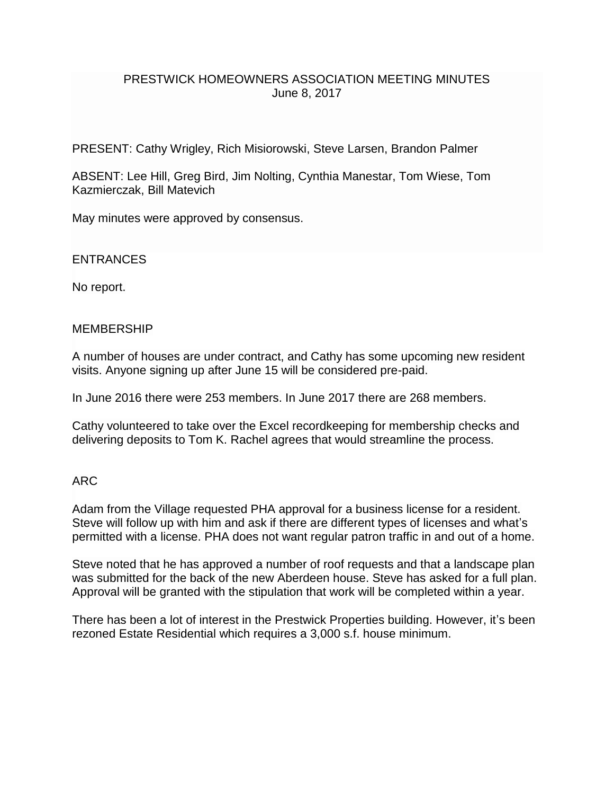### PRESTWICK HOMEOWNERS ASSOCIATION MEETING MINUTES June 8, 2017

PRESENT: Cathy Wrigley, Rich Misiorowski, Steve Larsen, Brandon Palmer

ABSENT: Lee Hill, Greg Bird, Jim Nolting, Cynthia Manestar, Tom Wiese, Tom Kazmierczak, Bill Matevich

May minutes were approved by consensus.

ENTRANCES

No report.

#### **MEMBERSHIP**

A number of houses are under contract, and Cathy has some upcoming new resident visits. Anyone signing up after June 15 will be considered pre-paid.

In June 2016 there were 253 members. In June 2017 there are 268 members.

Cathy volunteered to take over the Excel recordkeeping for membership checks and delivering deposits to Tom K. Rachel agrees that would streamline the process.

#### ARC

Adam from the Village requested PHA approval for a business license for a resident. Steve will follow up with him and ask if there are different types of licenses and what's permitted with a license. PHA does not want regular patron traffic in and out of a home.

Steve noted that he has approved a number of roof requests and that a landscape plan was submitted for the back of the new Aberdeen house. Steve has asked for a full plan. Approval will be granted with the stipulation that work will be completed within a year.

There has been a lot of interest in the Prestwick Properties building. However, it's been rezoned Estate Residential which requires a 3,000 s.f. house minimum.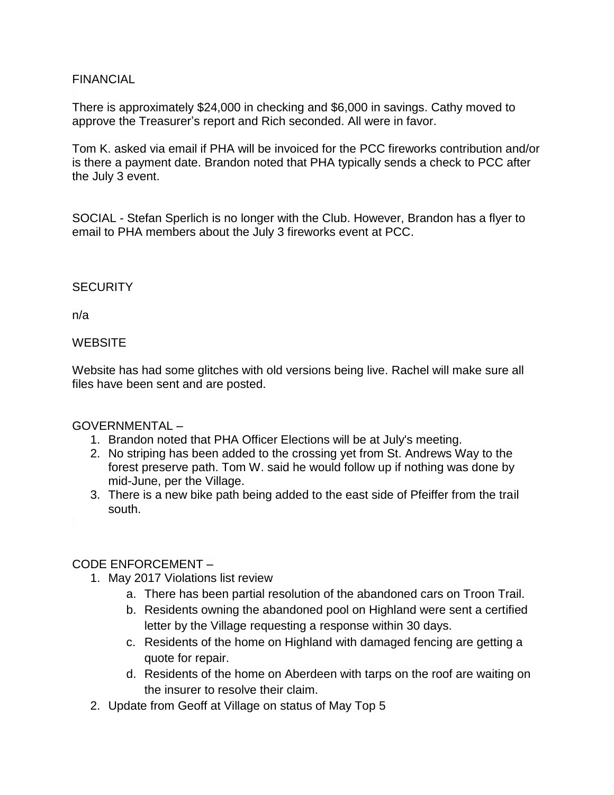### FINANCIAL

There is approximately \$24,000 in checking and \$6,000 in savings. Cathy moved to approve the Treasurer's report and Rich seconded. All were in favor.

Tom K. asked via email if PHA will be invoiced for the PCC fireworks contribution and/or is there a payment date. Brandon noted that PHA typically sends a check to PCC after the July 3 event.

SOCIAL - Stefan Sperlich is no longer with the Club. However, Brandon has a flyer to email to PHA members about the July 3 fireworks event at PCC.

# **SECURITY**

n/a

### **WEBSITE**

Website has had some glitches with old versions being live. Rachel will make sure all files have been sent and are posted.

# GOVERNMENTAL –

- 1. Brandon noted that PHA Officer Elections will be at July's meeting.
- 2. No striping has been added to the crossing yet from St. Andrews Way to the forest preserve path. Tom W. said he would follow up if nothing was done by mid-June, per the Village.
- 3. There is a new bike path being added to the east side of Pfeiffer from the trail south.

# CODE ENFORCEMENT –

- 1. May 2017 Violations list review
	- a. There has been partial resolution of the abandoned cars on Troon Trail.
	- b. Residents owning the abandoned pool on Highland were sent a certified letter by the Village requesting a response within 30 days.
	- c. Residents of the home on Highland with damaged fencing are getting a quote for repair.
	- d. Residents of the home on Aberdeen with tarps on the roof are waiting on the insurer to resolve their claim.
- 2. Update from Geoff at Village on status of May Top 5